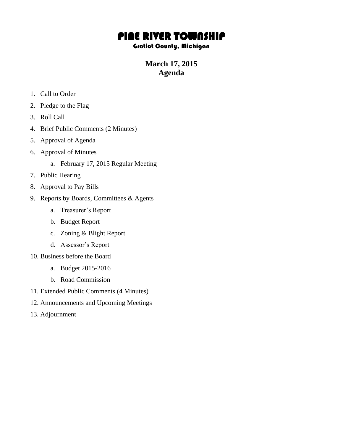# PINE RIVER TOWNSHIP

#### Gratiot County, Michigan

## **March 17, 2015 Agenda**

- 1. Call to Order
- 2. Pledge to the Flag
- 3. Roll Call
- 4. Brief Public Comments (2 Minutes)
- 5. Approval of Agenda
- 6. Approval of Minutes
	- a. February 17, 2015 Regular Meeting
- 7. Public Hearing
- 8. Approval to Pay Bills
- 9. Reports by Boards, Committees & Agents
	- a. Treasurer's Report
	- b. Budget Report
	- c. Zoning & Blight Report
	- d. Assessor's Report
- 10. Business before the Board
	- a. Budget 2015-2016
	- b. Road Commission
- 11. Extended Public Comments (4 Minutes)
- 12. Announcements and Upcoming Meetings
- 13. Adjournment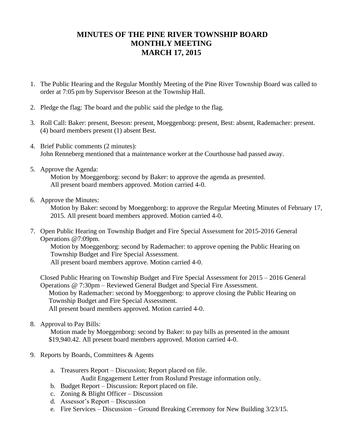### **MINUTES OF THE PINE RIVER TOWNSHIP BOARD MONTHLY MEETING MARCH 17, 2015**

- 1. The Public Hearing and the Regular Monthly Meeting of the Pine River Township Board was called to order at 7:05 pm by Supervisor Beeson at the Township Hall.
- 2. Pledge the flag: The board and the public said the pledge to the flag.
- 3. Roll Call: Baker: present, Beeson: present, Moeggenborg: present, Best: absent, Rademacher: present. (4) board members present (1) absent Best.
- 4. Brief Public comments (2 minutes): John Renneberg mentioned that a maintenance worker at the Courthouse had passed away.
- 5. Approve the Agenda:

Motion by Moeggenborg: second by Baker: to approve the agenda as presented. All present board members approved. Motion carried 4-0.

6. Approve the Minutes:

Motion by Baker: second by Moeggenborg: to approve the Regular Meeting Minutes of February 17, 2015. All present board members approved. Motion carried 4-0.

7. Open Public Hearing on Township Budget and Fire Special Assessment for 2015-2016 General Operations @7:09pm.

Motion by Moeggenborg: second by Rademacher: to approve opening the Public Hearing on Township Budget and Fire Special Assessment.

All present board members approve. Motion carried 4-0.

Closed Public Hearing on Township Budget and Fire Special Assessment for 2015 – 2016 General Operations @ 7:30pm – Reviewed General Budget and Special Fire Assessment.

Motion by Rademacher: second by Moeggenborg: to approve closing the Public Hearing on Township Budget and Fire Special Assessment.

All present board members approved. Motion carried 4-0.

8. Approval to Pay Bills:

 Motion made by Moeggenborg: second by Baker: to pay bills as presented in the amount \$19,940.42. All present board members approved. Motion carried 4-0.

- 9. Reports by Boards, Committees & Agents
	- a. Treasurers Report Discussion; Report placed on file.
		- Audit Engagement Letter from Roslund Prestage information only.
	- b. Budget Report Discussion: Report placed on file.
	- c. Zoning & Blight Officer Discussion
	- d. Assessor's Report Discussion
	- e. Fire Services Discussion Ground Breaking Ceremony for New Building 3/23/15.